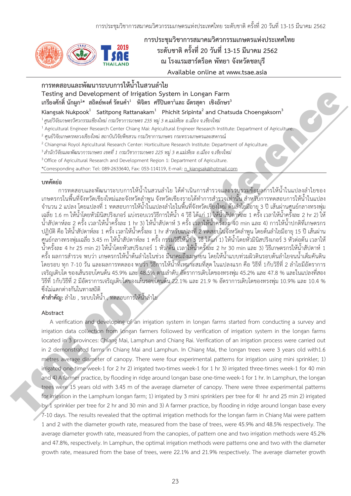

การประชุมวิชาการสมาคมวิศวกรรมเกษตรแห่งประเทศไทย **øąéĆïßćêĉÙø Üì Ċę 20 üĆîì Ċę 13-15 öĊîćÙö 252** Ĭ **è ēøÜĒøöăćøŤéøĘĂÙ óĆì÷ć ÝĆÜĀüĆéßúïčøĊ Available online at www.tsae.asia** 

# ้การทดสอบและพัฒนาระบบการให้น้ำในสวนลำไย

**Testing and Development of Irrigation System in Longan Farm**  เกรียงศักดิ์ นักผูก<sup>1</sup>\* สถิตย์พงศ์ รัตนคำ<sup>1</sup> พิจิตร ศรีปินตา<sup>2</sup>และ ฉัตรสุดา เชิงอักษร<sup>3</sup>

Kiangsak Nukpook<sup>1</sup> Satitpong Rattanakam<sup>1</sup> Phichit Sripinta<sup>2</sup> and Chatsuda Choengaksorn<sup>3</sup>

 $^1$ ศนย์วิจัยเกษตรวิศวกรรมเชียงใหม่ กรมวิชาการเกษตร 235 หม่ 3 ต.แม่เหียะ อ.เมือง จ.เชียงใหม่

 $^1$  Agricultural Engineer Research Center Chiang Mai: Agricultural Engineer Research Institute: Department of Agriculture.

 $^2$ ศูนย์วิจัยเกษตรหลวงเชียงใหม่ สถาบันวิจัยพืชสวน กรมวิชาการเกษตร กระทรวงเกษตรและสหกรณ์

<sup>2</sup> Chiangmai Royol Agricultural Research Center: Horticulture Research Institute: Department of Agriculture.

 $^3$ สำนักวิจัยและพัฒนาการเกษตร เขตที่ 1 กรมวิชาการเกษตร 225 หม่ 3 ต.แม่เหียะ อ.เมือง จ.เชียงใหม่

 $3$  Office of Agricultural Research and Development Region 1: Department of Agriculture.

\*Corresponding author: Tel: 089-2633640, Fax: 053-114119, E-mail: n\_kiangsak@hotmail.com

#### **ïìÙĆé÷ŠĂ**

การทดสอบและพัฒนาระบบการให้น้ำในสวนลำไย ได้ดำเนินการสำรวจและรวบรวมข้อมลการให้น้ำในแปลงลำไยของ เกษตรกรในพื้นที่จังหวัดเชียงใหม่และจังหวัดลำพูน จังหวัดเชียงรายได้ทำการสำรวจเท่านั้น สำหรับการทดสอบการให้น้ำในแปลง จำนวน 2 แปลง โดยแปลงที่ 1 ทดสอบการให้น้ำในแปลงลำไยในพื้นที่จังหวัดเชียงใหม่ ต้นลำไยมีอายุ 3 ปี เส้นผ่านศูนย์กลางทรงพุ่ม เฉลี่ย 1.6 m ให้น้ำโดยหัวมินิสปริงเกอร์ แบ่งรอบเวรวิธีการให้น้ำ 4 วิธี ได้แก่ 1) ให้น้ำสัปดาห์ละ 1 ครั้ง เวลาให้น้ำครั้งละ 2 hr 2) ให้ น้ำสัปดาห์ละ 2 ครั้ง เวลาให้น้ำครั้งละ 1 hr 3) ให้น้ำสัปดาห์ 3 ครั้ง เวลาให้น้ำครั้งละ 40 min และ 4) การให้น้ำปกติที่เกษตรกร ĆĚ ĆĚ ้ ปฏิบัติ คือ ให้น้ำสัปดาห์ละ 1 ครั้ง เวลาให้น้ำครั้งละ 1 hr สำหรับแปลงที่ 2 ทดสอบในจังหวัดลำพูน โดยต้นลำไยมีอายุ 15 ปี เส้นผ่าน ศูนย์กลางทรงพุ่มเฉลี่ย 3.45 m ให้น้ำสัปดาห์ละ 1 ครั้ง กรรมวิธีให้น้ำ 3 วิธี ได้แก่ 1) ให้น้ำโดยหั่วมินิสปริงเกอร์ 3 หัวต่อต้น เวลาให้ น้ำครั้งละ 4 hr 25 min 2) ให้น้ำโดยหัวสปริงเกอร์ 1 หัว/ต้น เวลาให้น้ำครั้งละ 2 hr 30 min และ 3) วิธีเกษตรกรให้น้ำสัปดาห์ 1 Ĭ. ĆĚ ครั้ง ผลการสำรวจ พบว่า เกษตรกรให้น้ำต้นลำไยในช่วง มีนาคมถึงเมษายน โดยให้น้ำแบบท่วมผิวดินรอบต้นลำไยจนน้ำเต็มคันดิน โดยรอบ ทุก 7-10 วัน และผลการทดลอง พบว่า วิธีการให้น้ำที่เหมาะสมที่สุด ในแปลงแรก คือ วิธีที่ 1กับวิธีที่ 2 ลำไยมีอัตราการ Ċę เจริญเติบโต ของเส้นรอบโคนต้น 45.9% และ 48.5% ตามลำดับ อัตราการเติบโตของทรงพุ่ม 45.2% และ 47.8 % และในแปลงที่สอง วิธีที่ 1กับวิธีที่ 2 มีอัตราการเจริญเติบโตของเส้นรอบโคนต้น 22.1% และ 21.9 % อัตราการเติบโตของทรงพ่ม 10.9% และ 10.4 % ซึ่งไม่แตกต่างกันในทางสถิติ Testing and Development of the<br>priori of the priori of Satelin Conference in Longaria Farmelic and Development<br>Computer is the conference interactional in Nebulation and Development of the conference interaction of the<br>sy

**์ คำสำคัญ:** ลำไย , ระบบให้น้ำ , ทดสอบการให้น้ำลำไย

#### **Abstract**

A verification and developing of an irrigation system in longan farms started from conducting a survey and irrigation data collection from longan farmers followed by verification of irrigation system in the longan farms located in 3 provinces: Chiang Mai, Lamphun and Chiang Rai. Verification of an irrigation process were carried out in 2 demonstrated farms in Chiang Mai and Lamphun. In Chiang Mai, the longan trees were 3 years old with1.6 metres average diameter of canopy. There were four experimental patterns for irrigation using mini sprinkler; 1) irrigated one-time week-1 for 2 hr 2) irrigated two-times week-1 for 1 hr 3) irrigated three-times week-1 for 40 min and 4) A farmer practice, by flooding in ridge around longan base one-time week-1 for 1 hr. In Lamphun, the longan trees were 15 years old with 3.45 m of the average diameter of canopy. There were three experimental patterns for irrigation in the Lamphum longan farm; 1) irrigated by 3 mini sprinklers per tree for 4! hr and 25 min 2) irrigated by 1 sprinkler per tree for 2 hr and 30 min and 3) A farmer practice, by flooding in ridge around longan base every 7-10 days. The results revealed that the optimal irrigation methods for the longan farm in Chiang Mai were pattern 1 and 2 with the diameter growth rate, measured from the base of trees, were 45.9% and 48.5% respectively. The average diameter growth rate, measured from the canopies, of pattern one and two irrigation methods were 45.2% and 47.8%, respectively. In Lamphun, the optimal irrigation methods were patterns one and two with the diameter growth rate, measured from the base of trees, were 22.1% and 21.9% respectively. The average diameter growth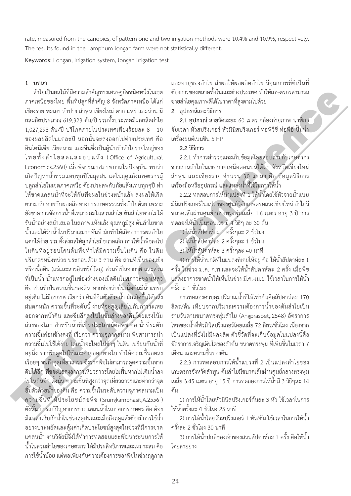rate, measured from the canopies, of pattern one and two irrigation methods were 10.4% and 10.9%, respectively. The results found in the Lamphum longan farm were not statistically different.

Keywords: Longan, irrigation system, longan irrigation test

**1 ïìîĞć**

ลำไยเป็นผลไม้ที่มีความสำคัญทางเศรษฐกิจชนิดหนึ่งในเขต ภาคเหนือของไทย พื้นที่ปลูกที่สำคัญ 8 จังหวัดภาคเหนือ ได้แก่ เชียงราย พะเยา ลำปาง ลำพูน เชียงใหม่ ตาก แพร่ และน่าน มี ผลผลิตประมาณ 619,323 ตัน/ปี รวมทั้งประเทศมีผลผลิตลำไย  $1.027.298$  ตัน/ปี บริโภคภายในประเทศเพียงร้อยละ 8 - 10 ของผลผลิตในแต่ละปี นอกนั้นจะส่งออกไปต่างประเทศ คือ Ĭ, อินโดนีเซีย เวียดนาม และจีนซึ่งเป็นผู้นำเข้าลำไยรายใหญ่ของ ไทยทั้งลำไยสดและอบแห้ง (Office of Agricultural Economics.2560) เมื่อพิจารณาสภาพกาลในปัจจุบัน พบว่า เกิดปัญหาน้ำท่วมแทบทุกปีในฤดูฝน แต่ในฤดูแล้งเกษตรกรผู้ ĚĞ ึบลูกลำไยในเขตภาคเหนือ ต้องประสพกับภัยแล้งแทบทุกๆปี ทำ ให้ขาดแคลนน้ำที่จะให้กับพืชผลในช่วงหน้าแล้ง ส่งผลให้เกิด ความเสียหายกับผลผลิตทางการเกษตรรวมทั้งลำไยด้วย เพราะ ĆĚ ยังขาดการจัดการน้ำที่เหมาะสมในสวนลำไย ต้นลำไยหากไม่ได้ ĚĞ **C** รับน้ำอย่างสม่ำเสมอ ในสภาพแห้งแล้ง อุณหภูมิสูง ต้นลำไยขาด ĚĞ ęĞ น้ำและได้รับน้ำในปริมาณมากทันที่ มักทำให้เกิดอาการผลลำไย แตกได้ง่าย รวมทั้งส่งผลให้ลูกลำไยมีขนาดเล็ก การให้น้ำพืชลงไป Ĭ ในดินที่อยู่รอบโคนต้นพืชทำให้มีความชื้นในดิน คือ ในดิน ปริมาตรหนึ่งหน่วย ประกอบด้วย 3 ส่วน คือ ส่วนที่เป็นของแข็ง ċę หรือเนื้อดิน (แร่และสารอินทรีย์วัตถุ) ส่วนที่เป็นอากาศ และส่วน Ĭ. ์ที่เป็นน้ำ น้ำแทรกอยู่ในช่องว่างของเม็ดดินในสภาวะของเหลว คือ ส่วนที่เป็นความชื้นของดิน หากช่องว่างในเนื้อดินมีน้ำแทรก Ĭ. อยู่เต็ม ไม่มีอากาศ เรียกว่า ดินที่อิ่มตัวด้วยน้ำ มักเกิดขึ้นได้หลัง ฝนตกหนัก ความชื้นที่ระดับนี้ ง่ายที่จะสูญเสียไปกับการระเหย Ĭ. Ċę Ċę ออกจากหน้าดิน และซึมลึกลงไปในชั้นล่างของดินโดยแรงโน้ม ถ่วงของโลก สำหรับน้ำที่เป็นประโยชน์ต่อพืช คือ น้ำที่ระดับ ความชื้นค่อนข้างคงที่ เรียกว่า ความจุภาคสนาม พืชสามารถนำ Ĭ. Ċę ความชื้นไปใช้ได้ง่าย โดยน้ำจะไหลไปช้าๆ ในดิน เปรียบกับน้ำที่ อยู่นิ่ง รากพืชดูดไปใช้และค่ายออกทางใบ ทำให้ความชื้นลดลง เรื่อยๆ จนถึงจุดเหี่ยวถาวร ซึ่งรากพืชไม่สามารถดูดความชื้นจาก **Contract Contract Contract Contract Contract Contract Contract Contract Contract Contract Contract Contract Contract Contract Contract Contract Contract Contract Contract Contract Contract Contract Contract Contract Contr** Ċę Ĭ. ดินได้อีก พืชจะแสดงอาการเหี่ยวถาวรโดยไม่ฟื้นหากไม่เติมน้ำลง ĚĞ ไปในดินอีก ดั้งนั้น ความชื้นที่สูงกว่าจุดเหี่ยวถาวรและต่ำกว่าจุด Ĭ. Ċę ęĞ อิ่มตัวด้วยน้ำของดิน คือ ความชื้นในระดับความจุภาคสนามเป็น ĚĞ ความชื้นที่ให้ประโยชน์ต่อพืช (Srungkarnphasit,A.2556 ) Ĭ. ดังนั้น การแก้ปัญหาการขาดแคลนน้ำในภาคการเกษตร คือ ต้อง มีแหล่งเก็บกักน้ำในช่วงฤดูฝนและเมื่อถึงฤดูแล้งต้องมีการใช้น้ำ ้อย่างประหยัดและคุ้มค่าเกิดประโยชน์สูงสุดในช่วงที่มีการขาด แคลนน้ำ งานวิจัยนี้จึงได้ทำการทดสอบและพัฒนาระบบการให้ ้น้ำในสวนลำไยของเกษตรกร ให้มีประสิทธิภาพและเหมาะสม คือ ้การใช้น้ำน้อย แต่พอเพียงกับความต้องการของพืชในช่วงฤดุกาล shabilised information by manusipalities of the converse of intertwine the state of the constrained information of the constrained information of the constrained intertwine in the constrained in the constrained in the co

และอายุของลำไย ส่งผลให้ผลผลิตลำไย มีคุณภาพที่ดีเป็นที่ ต้องการของตลาดทั้งในและต่างประเทศ ทำให้เกษตรกรสามารถ ขายลำไยคุณภาพดีได้ในราคาที่สูงตามไปด้วย

#### 2 อุปกรณ์และวิธีการ

**2.1 อุปกรณ์** สายวัดระยะ 60 เมตร กล้องถ่ายภาพ นาฬิกา จับเวลา หัวสปริงเกอร์ หัวมินิสปริงเกอร์ ท่อพีวีซี ท่อพีอี ปั๊มน้ำ เครื่องยนต์เบนซิน 5 HP i<br>C

### **2.2 วิธีการ**

2.2.1 ทำการสำรวจและเก็บข้อมูลโดยสอบถามกับเกษตรกร ชาวสวนลำไยในเขตภาคเหนือตอนบนได้แก่ จังหวัดเชียงใหม่ ลำพูน และเชียงราย จำนวน 30 แปลง คือ ข้อมูลวิธีการ เครื่องมือหรืออุปกรณ์ และแหล่งน้ำที่ใช้ในการให้น้ำ i<br>C

2.2.2 ทดสอบการให้น้ำแปลงที่ 1 ให้น้ำโดยใช้หัวจ่ายน้ำแบบ ĚĞ มินิสปริงเกอร์ในแปลงของศูนย์วิจัยเกษตรหลวงเชียงใหม่ ลำไยมี ขนาดเส้นผ่านศูนย์กลางทรงพุ่มเฉลี่ย 1.6 เมตร อายุ 3 ปี การ ทดลองให้น้ำเป็นรอบเวร มี 4 วิธีๆ ละ 30 ต้น

1) ให้น้ำสัปดาห์ละ 1 ครั้งๆละ 2 ชั่วโมง

2) ให้น้ำสัปดาห์ละ 2 ครั้งๆละ 1 ชั่วโมง

3) ให้น้ำสัปดาห์ละ 3 ครั้งๆละ 40 นาที

4) การให้น้ำปกติที่ในแปลงที่เคยให้อยู่ คือ ให้น้ำสัปดาห์ละ 1 ครั้ง ในช่วง ม.ค.-ก.พ.และจะให้น้ำสัปดาห์ละ 2 ครั้ง เมื่อพืช แสดงอาการขาดน้ำให้เห็นในช่วง มี.ค.-เม.ย. ใช้เวลาในการให้น้ำ  $\widetilde{\mathsf{P}}$ ธั้งละ 1 ชั่วโมง

การทดลองควบคุมปริมาณน้ำที่ให้เท่ากันคือสัปดาห์ละ 170 ĚĞ ลิตร/ต้น เทียบจากปริมาณความต้องการน้ำของต้นลำไยเป็น รายวันตามขนาดทรงพุ่มลำไย (Angprasoet,.2548) อัตราการ ไหลของน้ำที่หัวมินิสปริงเกอร์โดยเฉลี่ย 72 ลิตร/ชั่วโมง เนื่องจาก i<br>Contractor เป็นแปลงที่ยังไม่มีผลผลิต ตัวชี้วัดที่จะเก็บข้อมูลในแปลงนี้คือ อัตราการเจริญเติบโตของลำต้น ขนาดทรงพุ่ม ที่เพิ่มขึ้นในเวลา 7 เดือน และความชื้นของดิน Ĭ.

2.2.3 การทดสอบการให้น้ำแปรงที่ 2 เป็นแปลงลำไยของ เกษตรกรจังหวัดลำพูน ต้นลำไยมีขนาดเส้นผ่านศูนย์กลางทรงพุ่ม ้ เฉลี่ย 3.45 เมตร อายุ 15 ปี การทดลองการให้น้ำมี 3 วิธีๆละ 14 ต้น

1) การให้น้ำโดยหัวมินิสปริงเกอร์ต้นละ 3 หัว ใช้เวลาในการ ให้น้ำครั้งละ 4 ชั่วโมง 25 นาที

2) การให้น้ำโดยหัวสปริงเกอร์ 1 หัว/ต้น ใช้เวลาในการให้น้ำ ครั้งละ 2 ชั่วโมง 30 นาที

3) การให้น้ำปกติของเจ้าของสวนสัปดาห์ละ 1 ครั้ง คือให้น้ำ โดยสายยาง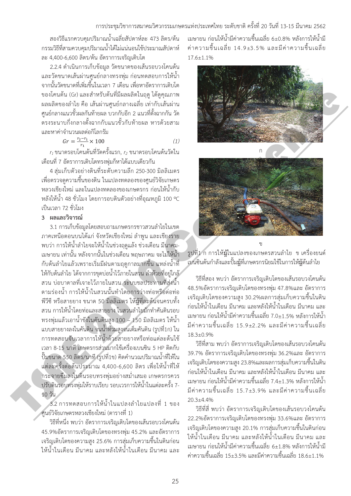การประชุมวิชาการสมาคมวิศวกรรมเกษตรแห่งประเทศไทย ระดับชาติ ครั้งที่ 20 วันที่ 13-15 มีนาคม 2562

สองวิธีแรกควบคุมปริมาณน้ำเฉลี่ยสัปดาห์ละ 473 ลิตร/ต้น ĚĞ Ċę กรรมวิธีที่สามควบคุมปริมาณน้ำได้ไม่แน่นอนใช้ประมาณสัปดาห์ ละ 4,400-6,600 ลิตร/ต้น อัตราการเจริญเติบโต

2.2.4 ดำเนินการเก็บข้อมูล วัดขนาดของเส้นรอบวงโคนต้น และวัดขนาดเส้นผ่านศูนย์กลางทรงพุ่ม ก่อนทดสอบการให้น้ำ จากนั้นวัดขนาดที่เพิ่มขึ้นในเวลา 7 เดือน เพื่อหาอัตราการเติบโต Ĭ, **C** ĉę **Contract Contract Contract Contract Contract Contract Contract Contract Contract Contract Contract Contract Contract Contract Contract Contract Contract Contract Contract Contract Contract Contract Contract Contract Contr** ของโคนต้น (Gr) และสำหรับต้นที่มีผลผลิตในฤดู ได้ดูคุณภาพ <u>ผลผลิตของลำไย คือ เส้นผ่านศูนย์กลางเฉลี่ย เท่ากับเส้นผ่าน</u> ศูนย์กลางแนวขั้วผลกันท้ายผล บวกกับอีก 2 แนวที่ตั้งฉากกัน วัด Ĭ. ตรงระนาบกึ่งกลางตั้งฉากกับแนวขั้วกับท้ายผล หารด้วยสาม ċę ĆĚ ĆĚ และหาค่าจำนวนผลต่อกิโลกรัม

$$
Gr = \frac{r_2 - r_1}{r_1} \times 100\tag{1}
$$

 $r_{\rm 1}$  ขนาดรอบโคนต้นที่วัดครั้งแรก,  $r_{\rm 2}$  ขนาดรอบโคนต้นวัดใน Ĭ. เดือนที่ 7 อัตราการเติบโตทรงพุ่มก็หาได้แบบเดียวกัน

4 สุ่มเก็บตัวอย่างดินที่ระดับความลึก 250-300 มิลลิเมตร เพื่อตรวจดูความชื้นของดิน ในแปลงทดลองของศูนย์วิจัยเกษตร **Contract Contract Contract Contract Contract Contract Contract Contract Contract Contract Contract Contract Contract Contract Contract Contract Contract Contract Contract Contract Contract Contract Contract Contract Contr** Ĭ. หลวงเชียงใหม่ และในแปลงทดลองของเกษตรกร ก่อนให้น้ำกับ หลังให้น้ำ 48 ชั่วโมง โดยการอบดินตัวอย่างที่อุณหภูมิ 100 °C ้เป็นเวลา 72 ชั่วโมง

## 3 ผลและวิจารณ์

3.1 การเก็บข้อมูลโดยสอบถามเกษตรกรชาวสวนลำไยในเขต ภาคเหนือตอนบนได้แก่ จังหวัดเชียงใหม่ ลำพูน และเชียงราย ้ พบว่า การให้น้ำลำไยจะให้น้ำในช่วงฤดูแล้ง ช่วงเดือน มีนาคม-เมษายน เท่านั้น หลังจากนั้นในช่วงเดือน พฤษภาคม จะไม่ให้น้ำ กับต้นลำไยแล้วเพราะเริ่มมีฝนตามฤดูกาลมากขึ้น แหล่งน้ำที่ ĉ ĚĞ Ċę ให้กับต้นลำไย ได้จากการขุดบ่อน้ำไว้ภายในสวน ลำห้วยที่อยู่ใกล้ สวน บ่อบาดาลที่เจาะไว้ภายในสวน ระบบชลประทานที่ส่งน้ำ ตามร่องน้ำ การให้น้ำในสวนนั้นทำโดยการว่างท่อหรือต่อท่อ พีวีซี หรือสายยาง ขนาด 50 มิลลิเมตร ให้ฎู้ที่ละต้นจนครบทั้ง สวน การให้น้ำโดยท่อและสายยาง ในสวนลำไยมักทำคันดินรอบ ทรงพุ่มแล้วเอาน้ำขังในคันดินสูง 100 – 150 มิลลิเมตร ให้น้ำ ĚĞ แบบสายยางลงในคันดิน จนน้ำท่วมสูงจนเต็มคันดิน (รูปที่1ก) ใน ĚĞ การทดสอบจับเวลาการให้น้ำด้วยสายยางหรือท่อแต่ละต้นใช้ เวลา 8-15 นาที เกษตรกรส่วนมากใช้เครื่องเบนซิน 5 HP ติดกับ i<br>Č ปั๊มขนาด 550 ลิตร/นาที (รูปที่1ข) คิดคำนวณปริมาณน้ำที่ให้ใน ĚĞ แต่ละครั้งต่อต้นประมาณ 4,400-6,600 ลิตร เพื่อให้น้ำที่ให้ ĆĚ กระจายซึมลงในดินรอบทรงพุ่มอย่างสม่ำเสมอ เกษตรกรควร ้ปรับดินรอบทรงพุ่มให้ราบเรียบ รอบเวรการให้น้ำในแต่ละครั้ง 7-10 วัน TSAE 2019 Conference

.<br>3.2 การทดสอบการให้น้ำในแปลงลำไยแปลงที่ 1 ของ ศูนย์วิจัยเกษตรหลวงเชียงใหม่ (ตารางที่ 1)

้วิธีที่หนึ่ง พบว่า อัตราการเจริญเติบโตของเส้นรอบวงโคนต้น 45.9%อัตราการเจริญเติบโตของทรงพุ่ม 45.2% และอัตราการ เจริญเติบโตของความสูง 25.6% การสุ่มเก็บความชื้นในดินก่อน ์ ให้บ้ำใบเดือบ บี่บาคบ และหลังให้บ้ำใบเดือบ บี่บาคบ และ

เมษายน ก่อนให้น้ำมีค่าความชื้นเฉลี่ย 6±0.8% หลังการให้น้ำมี Ĭ. ค่าความขึ้นเฉลี่ย 14.9±3.5% และมีค่าความขึ้นเฉลี่ย Ĭ. Í.  $176+11%$ 





ฐปที่1 ก การให้มู้ในแปลงของเกษตรสวนลำไย ข เครื่องยนต์ เบนซินต้นกำลังและปั้มฎู้ที่เกษตรกรนิยมใช้ในการให้ฎู้ต้นลำไย

วิธีที่สอง พบว่า อัตราการเจริญเติบโตของเส้นรอบวงโคนต้น 48.5%อัตราการเจริญเติบโตของทรงพุ่ม 47.8%และ อัตราการ เจริญเติบโตของความสูง 30.2%ผลการสุ่มเก็บความชื้นในดิน ้ก่อนให้น้ำในเดือน มีนาคม และหลังให้น้ำในเดือน มีนาคม และ เมษายน ก่อนให้น้ำมีค่าความชื้นเฉลี่ย 7.0±1.5% หลังการให้น้ำ มีค่าความชื้นเฉลี่ย 15.9±2.2% และมีค่าความชื้นเฉลี่ย Ĭ.  $18.3 + 0.9%$ 

วิธีที่สาม พบว่า อัตราการเจริญเติบโตของเส้นรอบวงโคนต้น 39.7% อัตราการเจริญเติบโตของทรงพุ่ม 36.2%และ อัตราการ เจริญเติบโตของความสูง 23.8%และผลการสุ่มเก็บความชื้นในดิน ้ก่อนให้น้ำในเดือน มีนาคม และหลังให้น้ำในเดือน มีนาคม และ เมษายน ก่อนให้น้ำมีค่าความชื้นเฉลี่ย 7.4±1.3% หลังการให้น้ำ Ĭ. มีค่าความชื้นเฉลี่ย 15.7±3.9% และมีค่าความชื้นเฉลี่ย  $20.3 + 4.4%$ 

้วิธีที่สี่ พบว่า อัตราการเจริญเติบโตของเส้นรอบวงโคนต้น 22.2%อัตราการเจริญเติบโตของทรงพุ่ม 33.6%และ อัตราการ เจริญเติบโตของความสูง 20.1% การสุ่มเก็บความชื้นในดินก่อน ้ให้น้ำในเดือน มีนาคม และหลังให้น้ำในเดือน มีนาคม และ เมษายน ก่อนให้น้ำมีค่าความชื้นเฉลี่ย 6±1.8% หลังการให้น้ำมี Ĭ. ค่าความชื้นเฉลี่ย 15±3.5% และมีค่าความชื้นเฉลี่ย 18.6±1.1%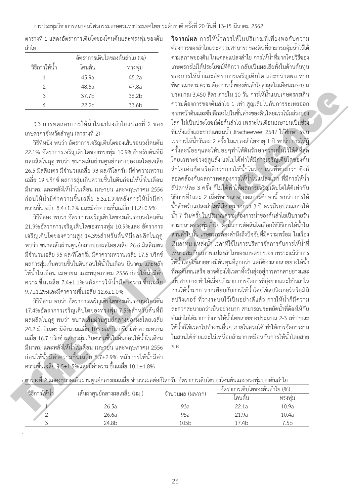<mark>วิจารณ์ผล</mark> การให้น้ำควรให้ในปริมาณที่เพียงพอกับความ ต้องการของลำไยและความสามารถของดินที่สามารถอุ้มน้ำไว้ได้ ์ ตามสภาพของดิน ในแต่ละแปลงลำไย การให้น้ำที่มากโดยวิธีของ เกษตรกรไม่ได้ประโยชน์ที่ดีกว่า กลับเป็นผลเสียทั้งในด้านต้นทุน ของการให้น้ำและอัตราการเจริญเติบโต และขนาดผล หาก พิจารณาตามความต้องการน้ำของต้นลำไยสูงสุดในเดือนเมษายน ึ ประมาณ 3,450 ลิตร ภายใน 10 วัน การให้น้ำแบบเกษตรกรเกิน ความต้องการของต้นลำไย 1 เท่า สญเสียไปกับการระเหยออก จากหน้าดินและซึมลึกลงไปในชั้นล่างของดินโดยแรงโน้มถ่วงของ โลก ไม่เป็นประโยชน์ต่อต้นลำไย เพราะในเดือนเมษายนเป็นช่วง ู้ที่แห้งแล้งและขาดแคลนน้ำ Jiracheevee, 2547 ได้ศึกษา รอบ ึ เวรการให้น้ำวันละ 2 ครั้ง ในแปลงลำไยอายุ 1 ปี พบว่า การให้**ท**ั้ ครั้งละน้อยๆและให้บ่อยๆทำให้ดินรักษาความชื้นไว้ได้ดีที่สุด ĆĚ โดยเฉพาะช่วงฤดูแล้ง แต่ไม่ได้ทำให้มีการเจริญเติบโตของต้น ลำไยเด่นชัดหรือดีกว่าการให้น้ำในรอบเวรที่ห่างกว่า ซึ่งก็ สอดคล้องกับผลการทดลองการให้น้ำในแปลงแรก ที่มีการให้น้ำ สัปดาห์ละ 3 ครั้ง ก็ไม่ได้ทำให้ผลการเจริญเติบโตได้ดีเท่ากับ วิธีการที่1และ 2 เมื่อพิจารณาจากผลการศึกษานี้ พบว่า การให้ ĊĚ ้น้ำสำหรับแปลงลำไยที่มีอายมากกว่า 3 ปี ควรมีรอบเวณการให้ น้ำ 7 วัน/ครั้ง ในปริมาณความต้องการน้ำของต้นลำไยเป็นรายวัน ĚĞ ตามขนาดทรงพุ่มลำไย ดั้งนั้นการตัดสินใจเลือกใช้วิธีการให้น้ำใน ĆĚ สวนลำไยนั้น เกษตรกรต้องคำนึงถึงปัจจัยที่มีความพร้อม ในเรื่อง เงินลงทุน แหล่งน้ำ เวลาที่ใช้ในการบริหารจัดการกับการให้น้ำที่ เหมาะสมกับสภาพแปลงลำไยของเกษตรกรเอง เพราะแม้ว่าการ ้ให้น้ำโดยใช้สายยางมีต้นทุนที่ถูกกว่า แต่ก็ต้องลากสายยางให้น้ำ ที่ละต้นจนเสร็จ อาจต้องใช้เวลาทั้งวันยุ่งอยู่การลากสายยางและ ĆĚ เก็บสายยาง ทำให้เมื่อยล้ามาก การจัดการที่ยุ่งยากและใช้เวลาใน ึการให้น้ำมาก หากเทียบกับการให้น้ำโดยใช้สปริงเกอร์หรือมินิ สปริงเกอร์ ที่วางระบบไว้เป็นอย่างดีแล้ว การให้น้ำก็มีความ สะดวกสะบายกว่าเป็นอย่างมาก สามารถประหยัดน้ำที่ต้องให้กับ ต้นลำไยได้มากกว่าการให้น้ำโดยสายยางประมาณ 2-3 เท่า ขณะ ให้น้ำก็ใช้เวลาไปทำงานอื่นๆ ภายในสวนได้ ทำให้การจัดการงาน ในสวนได้ง่ายและไม่เหนื่อยล้ามากเหมือนกับการให้น้ำโดยสาย The main of the conference of the conference of the main of the conference of the conference of the conference of the main of the conference of the conference of the conference of the conference of the conference of the

้ลำไย วิธีการให้น้ำ อัตราการเติบโตของต้นลำไย (%) โคนต้น ทรงพ่ม

ตารางที่ 1 แสดงอัตราการเติบโตของโคนต้นและทรงพุ่มของต้น

1  $45.9a$   $45.2a$  .a .a .b .b 4 22.2c 33.6b

3.3 การทดสอบการให้น้ำในแปลงลำไยแปลงที่ 2 ของ เกษตรกรจังหวัดลำพูน (ตารางที่ 2)

วิธีที่หนึ่ง พบว่า อัตราการเจริญเติบโตของเส้นรอบวงโคนต้น 22.1% อัตราการเจริญเติบโตของทรงพ่ม 10.9%สำหรับต้นที่มี <u>ผลผลิตในฤดู</u> พบว่า ขนาดเส้นผ่านศูนย์กลางของผลโดยเฉลี่ย . 26.5 มิลลิเมตร มีจำนวนเฉลี่ย 93 ผล/กิโลกรัม มีค่าความหวาน เฉลี่ย 19 บริกซ์ ผลการสุ่มเก็บความชื้นในดินก่อนให้น้ำในเดือน ้มีนาคม และหลังให้น้ำในเดือน เมษายน และพฤษภาคม 2556 ก่อนให้น้ำมีค่าความชื้นเฉลี่ย 5.3±1.9%หลังการให้น้ำมีค่า Ĭ. ความชื้นเฉลี่ย 8.4±1.2% และมีค่าความชื้นเฉลี่ย 11.2±0.9%

วิธีที่สอง พบว่า อัตราการเจริญเติบโตของเส้นรอบวงโคนต้น 21.9%อัตราการเจริญเติบโตของทรงพุ่ม 10.9%และ อัตราการ เจริญเติบโตของความสูง 14.3%สำหรับต้นที่มีผลผลิตในฤดู ้ พบว่า ขนาดเส้นผ่านศูนย์กลางของผลโดยเฉลี่ย 26.6 มิลลิเมตร ้ มีจำนวนเฉลี่ย 95 ผล/กิโลกรัม มีค่าความหวานเฉลี่ย 17.5 บริกซ์ ผลการสุ่มเก็บความชื้นในดินก่อนให้น้ำในเดือน มีนาคม และหลัง <u>ให้น้ำในเดือน เมษายน และพฤษภาคม 2556 ก่อนให้น้ำมีค่า</u> ความชื้นเฉลี่ย 7.4±1.1%หลังการให้น้ำมีค่าความชื้นเฉลี่ย Ĭ. Ĭ.  $9.7\pm1.2\%$ และมีค่าความขึ้นเฉลี่ย  $12.6\pm1.0\%$ 

วิธีที่สาม พบว่า อัตราการเจริญเติบโตของเส้นรอบวงโคนต้น 17.4%อัตราการเจริญเติบโตของทรงพุ่ม 7.5%สำหรับต้นที่มี <u>ผลผลิตในฤดู</u> พบว่า ขนาดเส้นผ่านศูนย์กลางของผลโดยเฉลี่ย 24.2 มิลลิเมตร มีจำนวนเฉลี่ย 105 ผล/กิโลกรัม มีค่าความหวาน เฉลี่ย 16.7 บริกซ์ ผลการสุ่มเก็บความชื้นในดินก่อนให้น้ำในเดือน ้มีนาคม และหลังให้น้ำในเดือน เมษายน และพฤษภาคม 2556 ก่อนให้น้ำมีค่าความชื้นเฉลี่ย 5.7±2.9% หลังการให้น้ำมีค่า Ĭ. ความชื้นเฉลี่ย 9.5±1.5%และมีค่าความชื้นเฉลี่ย 10.1±1.8%

|  |  |  | $\mathbb{P}$ is a constant in the constant of $\mathbb{P}$                                                  |  |  |  |  |
|--|--|--|-------------------------------------------------------------------------------------------------------------|--|--|--|--|
|  |  |  | . ตารางที่ 2 แสดงขนาดเส้นผ่านศนย์กลางผลเฉลี่ย จำนวนผลต่อกิโลกรัม อัตราการเติบโตของโคนต์นและทรงพุมของตนล่าโย |  |  |  |  |
|  |  |  |                                                                                                             |  |  |  |  |

| วิธีการให้น้ำ |                                |                  | อัตราการเติบโตของต้นลำไย (%) |                  |  |  |
|---------------|--------------------------------|------------------|------------------------------|------------------|--|--|
|               | ้เส้นผ่าศูนย์กลางผลเฉลีย (มม.) | จ้านวนผล (ผล/กก) | เคนต์น                       | ทรงพม            |  |  |
|               | 26.5a                          | 93a              | 22.1a                        | 10.9a            |  |  |
|               | 26.6a                          | 95a              | 21.9a                        | 10.4a            |  |  |
|               | 24.8b                          | 105 <sub>b</sub> | 17.4b                        | 7.5 <sub>b</sub> |  |  |

 $f13$ 

 $\overline{c}$